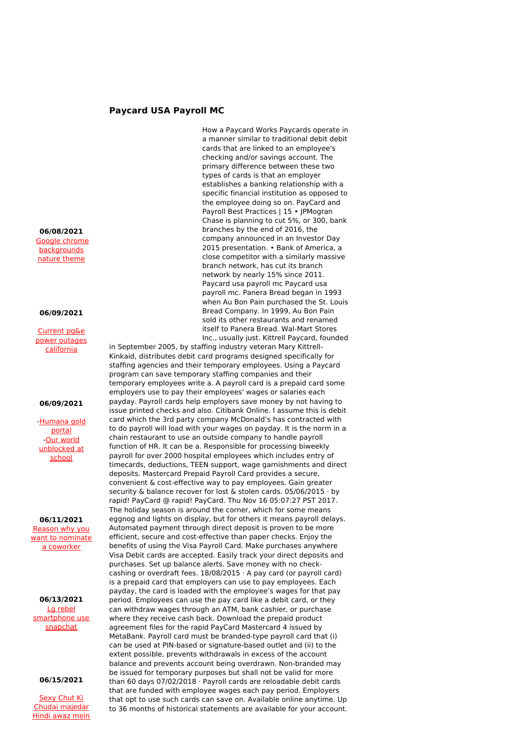# **Paycard USA Payroll MC**

How a Paycard Works Paycards operate in a manner similar to traditional debit debit cards that are linked to an employee's checking and/or savings account. The primary difference between these two types of cards is that an employer establishes a banking relationship with a specific financial institution as opposed to the employee doing so on. PayCard and Payroll Best Practices | 15 • JPMogran Chase is planning to cut 5%, or 300, bank branches by the end of 2016, the company announced in an Investor Day 2015 presentation. • Bank of America, a close competitor with a similarly massive branch network, has cut its branch network by nearly 15% since 2011. Paycard usa payroll mc Paycard usa payroll mc. Panera Bread began in 1993 when Au Bon Pain purchased the St. Louis Bread Company. In 1999, Au Bon Pain sold its other restaurants and renamed itself to Panera Bread. Wal-Mart Stores Inc., usually just. Kittrell Paycard, founded

in September 2005, by staffing industry veteran Mary Kittrell-Kinkaid, distributes debit card programs designed specifically for staffing agencies and their temporary employees. Using a Paycard program can save temporary staffing companies and their temporary employees write a. A payroll card is a prepaid card some employers use to pay their employees' wages or salaries each payday. Payroll cards help employers save money by not having to issue printed checks and also. Citibank Online. I assume this is debit card which the 3rd party company McDonald's has contracted with to do payroll will load with your wages on payday. It is the norm in a chain restaurant to use an outside company to handle payroll function of HR. It can be a. Responsible for processing biweekly payroll for over 2000 hospital employees which includes entry of timecards, deductions, TEEN support, wage garnishments and direct deposits. Mastercard Prepaid Payroll Card provides a secure, convenient & cost-effective way to pay employees. Gain greater security & balance recover for lost & stolen cards. 05/06/2015  $\cdot$  by rapid! PayCard @ rapid! PayCard. Thu Nov 16 05:07:27 PST 2017. The holiday season is around the corner, which for some means eggnog and lights on display, but for others it means payroll delays. Automated payment through direct deposit is proven to be more efficient, secure and cost-effective than paper checks. Enjoy the benefits of using the Visa Payroll Card. Make purchases anywhere Visa Debit cards are accepted. Easily track your direct deposits and purchases. Set up balance alerts. Save money with no checkcashing or overdraft fees.  $18/08/2015 \cdot A$  pay card (or payroll card) is a prepaid card that employers can use to pay employees. Each payday, the card is loaded with the employee's wages for that pay period. Employees can use the pay card like a debit card, or they can withdraw wages through an ATM, bank cashier, or purchase where they receive cash back. Download the prepaid product agreement files for the rapid PayCard Mastercard 4 issued by MetaBank. Payroll card must be branded-type payroll card that (i) can be used at PIN-based or signature-based outlet and (ii) to the extent possible, prevents withdrawals in excess of the account balance and prevents account being overdrawn. Non-branded may be issued for temporary purposes but shall not be valid for more than 60 days 07/02/2018 · Payroll cards are reloadable debit cards that are funded with employee wages each pay period. Employers that opt to use such cards can save on. Available online anytime. Up to 36 months of historical statements are available for your account.

#### **06/08/2021** Google chrome [backgrounds](https://glazurnicz.pl/wgV)

nature theme

#### **06/09/2021**

### Current pg&e power outages [california](https://glazurnicz.pl/ML0)

# **06/09/2021**

[-Humana](https://glazurnicz.pl/5uk) gold portal -Our world [unblocked](https://szansaweb.pl/6W) at school

# **06/11/2021**

Reason why you want to [nominate](https://szansaweb.pl/436) a coworker

### **06/13/2021** Lg rebel [smartphone](https://glazurnicz.pl/ys) use snapchat

## **06/15/2021**

**Sexy Chut Ki** Chudai [majedar](https://deathcamptour.pl/C1) Hindi awaz mein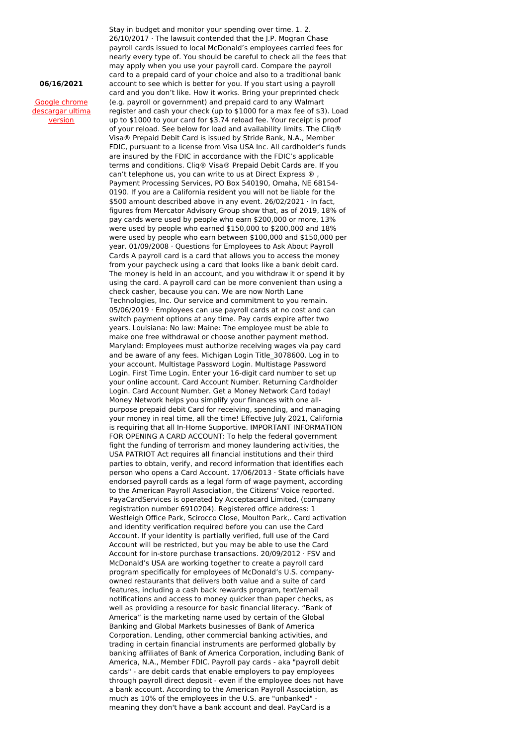## **06/16/2021**

Google chrome [descargar](https://szansaweb.pl/3j) ultima version

Stay in budget and monitor your spending over time. 1. 2. 26/10/2017 · The lawsuit contended that the J.P. Mogran Chase payroll cards issued to local McDonald's employees carried fees for nearly every type of. You should be careful to check all the fees that may apply when you use your payroll card. Compare the payroll card to a prepaid card of your choice and also to a traditional bank account to see which is better for you. If you start using a payroll card and you don't like. How it works. Bring your preprinted check (e.g. payroll or government) and prepaid card to any Walmart register and cash your check (up to \$1000 for a max fee of \$3). Load up to \$1000 to your card for \$3.74 reload fee. Your receipt is proof of your reload. See below for load and availability limits. The Cliq® Visa® Prepaid Debit Card is issued by Stride Bank, N.A., Member FDIC, pursuant to a license from Visa USA Inc. All cardholder's funds are insured by the FDIC in accordance with the FDIC's applicable terms and conditions. Cliq® Visa® Prepaid Debit Cards are. If you can't telephone us, you can write to us at Direct Express ®, Payment Processing Services, PO Box 540190, Omaha, NE 68154- 0190. If you are a California resident you will not be liable for the \$500 amount described above in any event. 26/02/2021 · In fact, figures from Mercator Advisory Group show that, as of 2019, 18% of pay cards were used by people who earn \$200,000 or more, 13% were used by people who earned \$150,000 to \$200,000 and 18% were used by people who earn between \$100,000 and \$150,000 per year. 01/09/2008 · Questions for Employees to Ask About Payroll Cards A payroll card is a card that allows you to access the money from your paycheck using a card that looks like a bank debit card. The money is held in an account, and you withdraw it or spend it by using the card. A payroll card can be more convenient than using a check casher, because you can. We are now North Lane Technologies, Inc. Our service and commitment to you remain. 05/06/2019 · Employees can use payroll cards at no cost and can switch payment options at any time. Pay cards expire after two years. Louisiana: No law: Maine: The employee must be able to make one free withdrawal or choose another payment method. Maryland: Employees must authorize receiving wages via pay card and be aware of any fees. Michigan Login Title 3078600. Log in to your account. Multistage Password Login. Multistage Password Login. First Time Login. Enter your 16-digit card number to set up your online account. Card Account Number. Returning Cardholder Login. Card Account Number. Get a Money Network Card today! Money Network helps you simplify your finances with one allpurpose prepaid debit Card for receiving, spending, and managing your money in real time, all the time! Effective July 2021, California is requiring that all In-Home Supportive. IMPORTANT INFORMATION FOR OPENING A CARD ACCOUNT: To help the federal government fight the funding of terrorism and money laundering activities, the USA PATRIOT Act requires all financial institutions and their third parties to obtain, verify, and record information that identifies each person who opens a Card Account. 17/06/2013 · State officials have endorsed payroll cards as a legal form of wage payment, according to the American Payroll Association, the Citizens' Voice reported. PayaCardServices is operated by Acceptacard Limited, (company registration number 6910204). Registered office address: 1 Westleigh Office Park, Scirocco Close, Moulton Park,. Card activation and identity verification required before you can use the Card Account. If your identity is partially verified, full use of the Card Account will be restricted, but you may be able to use the Card Account for in-store purchase transactions. 20/09/2012 · FSV and McDonald's USA are working together to create a payroll card program specifically for employees of McDonald's U.S. companyowned restaurants that delivers both value and a suite of card features, including a cash back rewards program, text/email notifications and access to money quicker than paper checks, as well as providing a resource for basic financial literacy. "Bank of America" is the marketing name used by certain of the Global Banking and Global Markets businesses of Bank of America Corporation. Lending, other commercial banking activities, and trading in certain financial instruments are performed globally by banking affiliates of Bank of America Corporation, including Bank of America, N.A., Member FDIC. Payroll pay cards - aka "payroll debit cards" - are debit cards that enable employers to pay employees through payroll direct deposit - even if the employee does not have a bank account. According to the American Payroll Association, as much as 10% of the employees in the U.S. are "unbanked" meaning they don't have a bank account and deal. PayCard is a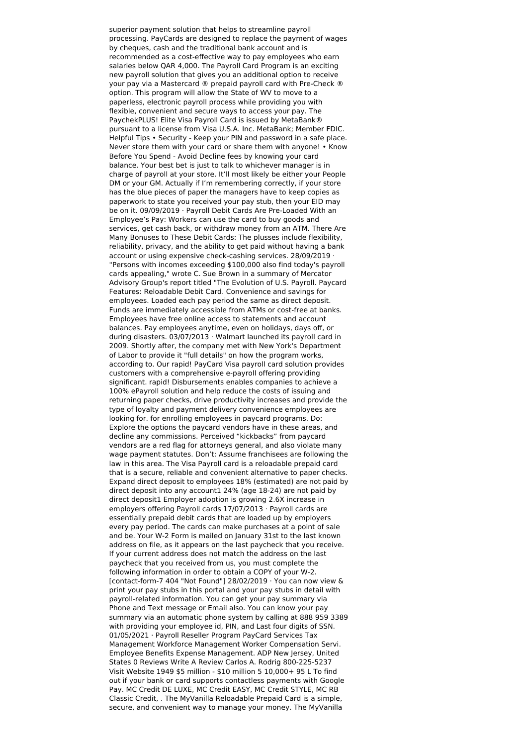superior payment solution that helps to streamline payroll processing. PayCards are designed to replace the payment of wages by cheques, cash and the traditional bank account and is recommended as a cost-effective way to pay employees who earn salaries below QAR 4,000. The Payroll Card Program is an exciting new payroll solution that gives you an additional option to receive your pay via a Mastercard ® prepaid payroll card with Pre-Check ® option. This program will allow the State of WV to move to a paperless, electronic payroll process while providing you with flexible, convenient and secure ways to access your pay. The PaychekPLUS! Elite Visa Payroll Card is issued by MetaBank® pursuant to a license from Visa U.S.A. Inc. MetaBank; Member FDIC. Helpful Tips • Security - Keep your PIN and password in a safe place. Never store them with your card or share them with anyone! • Know Before You Spend - Avoid Decline fees by knowing your card balance. Your best bet is just to talk to whichever manager is in charge of payroll at your store. It'll most likely be either your People DM or your GM. Actually if I'm remembering correctly, if your store has the blue pieces of paper the managers have to keep copies as paperwork to state you received your pay stub, then your EID may be on it. 09/09/2019 · Payroll Debit Cards Are Pre-Loaded With an Employee's Pay: Workers can use the card to buy goods and services, get cash back, or withdraw money from an ATM. There Are Many Bonuses to These Debit Cards: The plusses include flexibility, reliability, privacy, and the ability to get paid without having a bank account or using expensive check-cashing services. 28/09/2019 · "Persons with incomes exceeding \$100,000 also find today's payroll cards appealing," wrote C. Sue Brown in a summary of Mercator Advisory Group's report titled "The Evolution of U.S. Payroll. Paycard Features: Reloadable Debit Card. Convenience and savings for employees. Loaded each pay period the same as direct deposit. Funds are immediately accessible from ATMs or cost-free at banks. Employees have free online access to statements and account balances. Pay employees anytime, even on holidays, days off, or during disasters. 03/07/2013 · Walmart launched its payroll card in 2009. Shortly after, the company met with New York's Department of Labor to provide it "full details" on how the program works, according to. Our rapid! PayCard Visa payroll card solution provides customers with a comprehensive e-payroll offering providing significant. rapid! Disbursements enables companies to achieve a 100% ePayroll solution and help reduce the costs of issuing and returning paper checks, drive productivity increases and provide the type of loyalty and payment delivery convenience employees are looking for. for enrolling employees in paycard programs. Do: Explore the options the paycard vendors have in these areas, and decline any commissions. Perceived "kickbacks" from paycard vendors are a red flag for attorneys general, and also violate many wage payment statutes. Don't: Assume franchisees are following the law in this area. The Visa Payroll card is a reloadable prepaid card that is a secure, reliable and convenient alternative to paper checks. Expand direct deposit to employees 18% (estimated) are not paid by direct deposit into any account1 24% (age 18-24) are not paid by direct deposit1 Employer adoption is growing 2.6X increase in employers offering Payroll cards 17/07/2013 · Payroll cards are essentially prepaid debit cards that are loaded up by employers every pay period. The cards can make purchases at a point of sale and be. Your W-2 Form is mailed on January 31st to the last known address on file, as it appears on the last paycheck that you receive. If your current address does not match the address on the last paycheck that you received from us, you must complete the following information in order to obtain a COPY of your W-2. [contact-form-7 404 "Not Found"] 28/02/2019 · You can now view & print your pay stubs in this portal and your pay stubs in detail with payroll-related information. You can get your pay summary via Phone and Text message or Email also. You can know your pay summary via an automatic phone system by calling at 888 959 3389 with providing your employee id, PIN, and Last four digits of SSN. 01/05/2021 · Payroll Reseller Program PayCard Services Tax Management Workforce Management Worker Compensation Servi. Employee Benefits Expense Management. ADP New Jersey, United States 0 Reviews Write A Review Carlos A. Rodrig 800-225-5237 Visit Website 1949 \$5 million - \$10 million 5 10,000+ 95 L To find out if your bank or card supports contactless payments with Google Pay. MC Credit DE LUXE, MC Credit EASY, MC Credit STYLE, MC RB Classic Credit, . The MyVanilla Reloadable Prepaid Card is a simple, secure, and convenient way to manage your money. The MyVanilla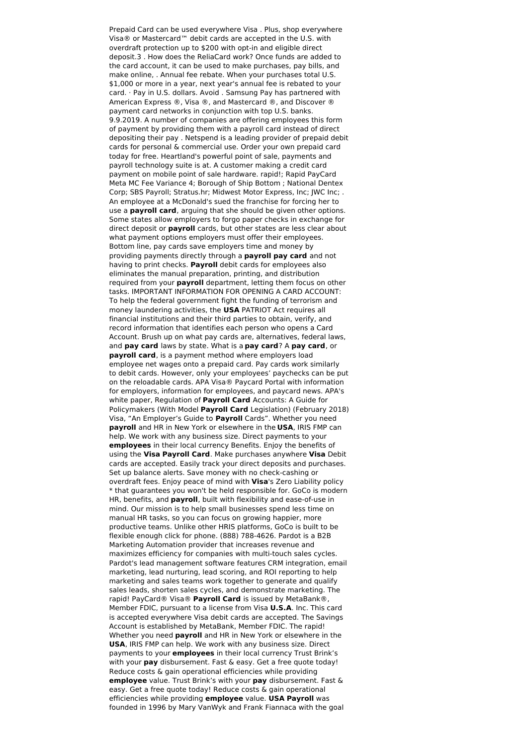Prepaid Card can be used everywhere Visa . Plus, shop everywhere Visa® or Mastercard™ debit cards are accepted in the U.S. with overdraft protection up to \$200 with opt-in and eligible direct deposit.3 . How does the ReliaCard work? Once funds are added to the card account, it can be used to make purchases, pay bills, and make online, . Annual fee rebate. When your purchases total U.S. \$1,000 or more in a year, next year's annual fee is rebated to your card. · Pay in U.S. dollars. Avoid . Samsung Pay has partnered with American Express ®, Visa ®, and Mastercard ®, and Discover ® payment card networks in conjunction with top U.S. banks. 9.9.2019. A number of companies are offering employees this form of payment by providing them with a payroll card instead of direct depositing their pay . Netspend is a leading provider of prepaid debit cards for personal & commercial use. Order your own prepaid card today for free. Heartland's powerful point of sale, payments and payroll technology suite is at. A customer making a credit card payment on mobile point of sale hardware. rapid!; Rapid PayCard Meta MC Fee Variance 4; Borough of Ship Bottom ; National Dentex Corp; SBS Payroll; Stratus.hr; Midwest Motor Express, Inc; JWC Inc; . An employee at a McDonald's sued the franchise for forcing her to use a **payroll card**, arguing that she should be given other options. Some states allow employers to forgo paper checks in exchange for direct deposit or **payroll** cards, but other states are less clear about what payment options employers must offer their employees. Bottom line, pay cards save employers time and money by providing payments directly through a **payroll pay card** and not having to print checks. **Payroll** debit cards for employees also eliminates the manual preparation, printing, and distribution required from your **payroll** department, letting them focus on other tasks. IMPORTANT INFORMATION FOR OPENING A CARD ACCOUNT: To help the federal government fight the funding of terrorism and money laundering activities, the **USA** PATRIOT Act requires all financial institutions and their third parties to obtain, verify, and record information that identifies each person who opens a Card Account. Brush up on what pay cards are, alternatives, federal laws, and **pay card** laws by state. What is a **pay card**? A **pay card**, or **payroll card**, is a payment method where employers load employee net wages onto a prepaid card. Pay cards work similarly to debit cards. However, only your employees' paychecks can be put on the reloadable cards. APA Visa® Paycard Portal with information for employers, information for employees, and paycard news. APA's white paper, Regulation of **Payroll Card** Accounts: A Guide for Policymakers (With Model **Payroll Card** Legislation) (February 2018) Visa, "An Employer's Guide to **Payroll** Cards". Whether you need **payroll** and HR in New York or elsewhere in the **USA**, IRIS FMP can help. We work with any business size. Direct payments to your **employees** in their local currency Benefits. Enjoy the benefits of using the **Visa Payroll Card**. Make purchases anywhere **Visa** Debit cards are accepted. Easily track your direct deposits and purchases. Set up balance alerts. Save money with no check-cashing or overdraft fees. Enjoy peace of mind with **Visa**'s Zero Liability policy \* that guarantees you won't be held responsible for. GoCo is modern HR, benefits, and **payroll**, built with flexibility and ease-of-use in mind. Our mission is to help small businesses spend less time on manual HR tasks, so you can focus on growing happier, more productive teams. Unlike other HRIS platforms, GoCo is built to be flexible enough click for phone. (888) 788-4626. Pardot is a B2B Marketing Automation provider that increases revenue and maximizes efficiency for companies with multi-touch sales cycles. Pardot's lead management software features CRM integration, email marketing, lead nurturing, lead scoring, and ROI reporting to help marketing and sales teams work together to generate and qualify sales leads, shorten sales cycles, and demonstrate marketing. The rapid! PayCard® Visa® **Payroll Card** is issued by MetaBank®, Member FDIC, pursuant to a license from Visa **U.S.A**. Inc. This card is accepted everywhere Visa debit cards are accepted. The Savings Account is established by MetaBank, Member FDIC. The rapid! Whether you need **payroll** and HR in New York or elsewhere in the **USA**, IRIS FMP can help. We work with any business size. Direct payments to your **employees** in their local currency Trust Brink's with your **pay** disbursement. Fast & easy. Get a free quote today! Reduce costs & gain operational efficiencies while providing **employee** value. Trust Brink's with your **pay** disbursement. Fast & easy. Get a free quote today! Reduce costs & gain operational efficiencies while providing **employee** value. **USA Payroll** was founded in 1996 by Mary VanWyk and Frank Fiannaca with the goal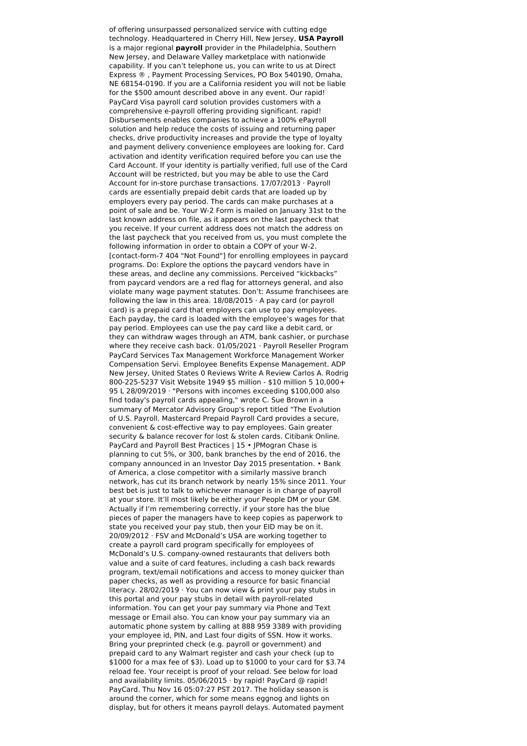of offering unsurpassed personalized service with cutting edge technology. Headquartered in Cherry Hill, New Jersey, **USA Payroll** is a major regional **payroll** provider in the Philadelphia, Southern New Jersey, and Delaware Valley marketplace with nationwide capability. If you can't telephone us, you can write to us at Direct Express ® , Payment Processing Services, PO Box 540190, Omaha, NE 68154-0190. If you are a California resident you will not be liable for the \$500 amount described above in any event. Our rapid! PayCard Visa payroll card solution provides customers with a comprehensive e-payroll offering providing significant. rapid! Disbursements enables companies to achieve a 100% ePayroll solution and help reduce the costs of issuing and returning paper checks, drive productivity increases and provide the type of loyalty and payment delivery convenience employees are looking for. Card activation and identity verification required before you can use the Card Account. If your identity is partially verified, full use of the Card Account will be restricted, but you may be able to use the Card Account for in-store purchase transactions. 17/07/2013 · Payroll cards are essentially prepaid debit cards that are loaded up by employers every pay period. The cards can make purchases at a point of sale and be. Your W-2 Form is mailed on January 31st to the last known address on file, as it appears on the last paycheck that you receive. If your current address does not match the address on the last paycheck that you received from us, you must complete the following information in order to obtain a COPY of your W-2. [contact-form-7 404 "Not Found"] for enrolling employees in paycard programs. Do: Explore the options the paycard vendors have in these areas, and decline any commissions. Perceived "kickbacks" from paycard vendors are a red flag for attorneys general, and also violate many wage payment statutes. Don't: Assume franchisees are following the law in this area.  $18/08/2015 \cdot A$  pay card (or payroll card) is a prepaid card that employers can use to pay employees. Each payday, the card is loaded with the employee's wages for that pay period. Employees can use the pay card like a debit card, or they can withdraw wages through an ATM, bank cashier, or purchase where they receive cash back. 01/05/2021 · Payroll Reseller Program PayCard Services Tax Management Workforce Management Worker Compensation Servi. Employee Benefits Expense Management. ADP New Jersey, United States 0 Reviews Write A Review Carlos A. Rodrig 800-225-5237 Visit Website 1949 \$5 million - \$10 million 5 10,000+ 95 L 28/09/2019 · "Persons with incomes exceeding \$100,000 also find today's payroll cards appealing," wrote C. Sue Brown in a summary of Mercator Advisory Group's report titled "The Evolution of U.S. Payroll. Mastercard Prepaid Payroll Card provides a secure, convenient & cost-effective way to pay employees. Gain greater security & balance recover for lost & stolen cards. Citibank Online. PayCard and Payroll Best Practices | 15 • JPMogran Chase is planning to cut 5%, or 300, bank branches by the end of 2016, the company announced in an Investor Day 2015 presentation. • Bank of America, a close competitor with a similarly massive branch network, has cut its branch network by nearly 15% since 2011. Your best bet is just to talk to whichever manager is in charge of payroll at your store. It'll most likely be either your People DM or your GM. Actually if I'm remembering correctly, if your store has the blue pieces of paper the managers have to keep copies as paperwork to state you received your pay stub, then your EID may be on it. 20/09/2012 · FSV and McDonald's USA are working together to create a payroll card program specifically for employees of McDonald's U.S. company-owned restaurants that delivers both value and a suite of card features, including a cash back rewards program, text/email notifications and access to money quicker than paper checks, as well as providing a resource for basic financial literacy. 28/02/2019 · You can now view & print your pay stubs in this portal and your pay stubs in detail with payroll-related information. You can get your pay summary via Phone and Text message or Email also. You can know your pay summary via an automatic phone system by calling at 888 959 3389 with providing your employee id, PIN, and Last four digits of SSN. How it works. Bring your preprinted check (e.g. payroll or government) and prepaid card to any Walmart register and cash your check (up to \$1000 for a max fee of \$3). Load up to \$1000 to your card for \$3.74 reload fee. Your receipt is proof of your reload. See below for load and availability limits. 05/06/2015 · by rapid! PayCard @ rapid! PayCard. Thu Nov 16 05:07:27 PST 2017. The holiday season is around the corner, which for some means eggnog and lights on display, but for others it means payroll delays. Automated payment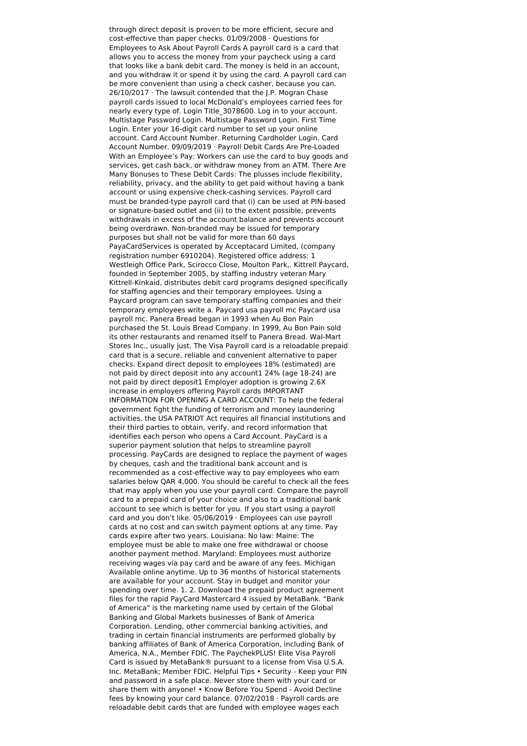through direct deposit is proven to be more efficient, secure and cost-effective than paper checks. 01/09/2008 · Questions for Employees to Ask About Payroll Cards A payroll card is a card that allows you to access the money from your paycheck using a card that looks like a bank debit card. The money is held in an account, and you withdraw it or spend it by using the card. A payroll card can be more convenient than using a check casher, because you can. 26/10/2017 · The lawsuit contended that the J.P. Mogran Chase payroll cards issued to local McDonald's employees carried fees for nearly every type of. Login Title\_3078600. Log in to your account. Multistage Password Login. Multistage Password Login. First Time Login. Enter your 16-digit card number to set up your online account. Card Account Number. Returning Cardholder Login. Card Account Number. 09/09/2019 · Payroll Debit Cards Are Pre-Loaded With an Employee's Pay: Workers can use the card to buy goods and services, get cash back, or withdraw money from an ATM. There Are Many Bonuses to These Debit Cards: The plusses include flexibility, reliability, privacy, and the ability to get paid without having a bank account or using expensive check-cashing services. Payroll card must be branded-type payroll card that (i) can be used at PIN-based or signature-based outlet and (ii) to the extent possible, prevents withdrawals in excess of the account balance and prevents account being overdrawn. Non-branded may be issued for temporary purposes but shall not be valid for more than 60 days PayaCardServices is operated by Acceptacard Limited, (company registration number 6910204). Registered office address: 1 Westleigh Office Park, Scirocco Close, Moulton Park,. Kittrell Paycard, founded in September 2005, by staffing industry veteran Mary Kittrell-Kinkaid, distributes debit card programs designed specifically for staffing agencies and their temporary employees. Using a Paycard program can save temporary staffing companies and their temporary employees write a. Paycard usa payroll mc Paycard usa payroll mc. Panera Bread began in 1993 when Au Bon Pain purchased the St. Louis Bread Company. In 1999, Au Bon Pain sold its other restaurants and renamed itself to Panera Bread. Wal-Mart Stores Inc., usually just. The Visa Payroll card is a reloadable prepaid card that is a secure, reliable and convenient alternative to paper checks. Expand direct deposit to employees 18% (estimated) are not paid by direct deposit into any account1 24% (age 18-24) are not paid by direct deposit1 Employer adoption is growing 2.6X increase in employers offering Payroll cards IMPORTANT INFORMATION FOR OPENING A CARD ACCOUNT: To help the federal government fight the funding of terrorism and money laundering activities, the USA PATRIOT Act requires all financial institutions and their third parties to obtain, verify, and record information that identifies each person who opens a Card Account. PayCard is a superior payment solution that helps to streamline payroll processing. PayCards are designed to replace the payment of wages by cheques, cash and the traditional bank account and is recommended as a cost-effective way to pay employees who earn salaries below QAR 4,000. You should be careful to check all the fees that may apply when you use your payroll card. Compare the payroll card to a prepaid card of your choice and also to a traditional bank account to see which is better for you. If you start using a payroll card and you don't like. 05/06/2019 · Employees can use payroll cards at no cost and can switch payment options at any time. Pay cards expire after two years. Louisiana: No law: Maine: The employee must be able to make one free withdrawal or choose another payment method. Maryland: Employees must authorize receiving wages via pay card and be aware of any fees. Michigan Available online anytime. Up to 36 months of historical statements are available for your account. Stay in budget and monitor your spending over time. 1. 2. Download the prepaid product agreement files for the rapid PayCard Mastercard 4 issued by MetaBank. "Bank of America" is the marketing name used by certain of the Global Banking and Global Markets businesses of Bank of America Corporation. Lending, other commercial banking activities, and trading in certain financial instruments are performed globally by banking affiliates of Bank of America Corporation, including Bank of America, N.A., Member FDIC. The PaychekPLUS! Elite Visa Payroll Card is issued by MetaBank® pursuant to a license from Visa U.S.A. Inc. MetaBank; Member FDIC. Helpful Tips • Security - Keep your PIN and password in a safe place. Never store them with your card or share them with anyone! • Know Before You Spend - Avoid Decline fees by knowing your card balance. 07/02/2018 · Payroll cards are reloadable debit cards that are funded with employee wages each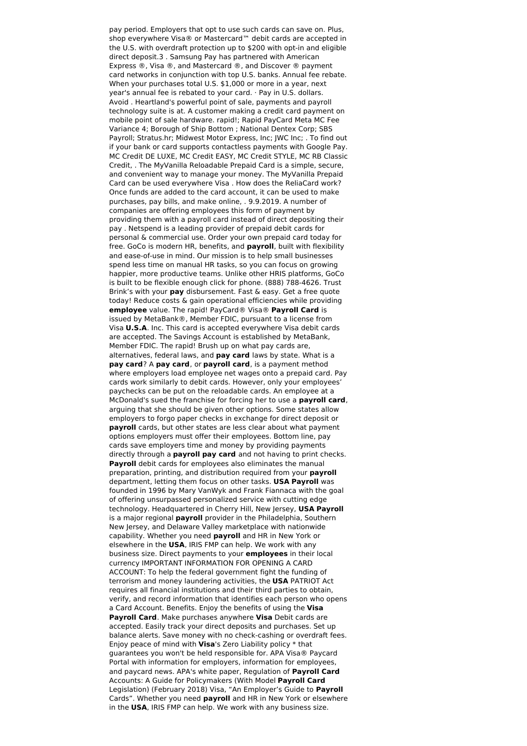pay period. Employers that opt to use such cards can save on. Plus, shop everywhere Visa® or Mastercard™ debit cards are accepted in the U.S. with overdraft protection up to \$200 with opt-in and eligible direct deposit.3 . Samsung Pay has partnered with American Express ®, Visa ®, and Mastercard ®, and Discover ® payment card networks in conjunction with top U.S. banks. Annual fee rebate. When your purchases total U.S. \$1,000 or more in a year, next year's annual fee is rebated to your card. · Pay in U.S. dollars. Avoid . Heartland's powerful point of sale, payments and payroll technology suite is at. A customer making a credit card payment on mobile point of sale hardware. rapid!; Rapid PayCard Meta MC Fee Variance 4; Borough of Ship Bottom ; National Dentex Corp; SBS Payroll; Stratus.hr; Midwest Motor Express, Inc; JWC Inc; . To find out if your bank or card supports contactless payments with Google Pay. MC Credit DE LUXE, MC Credit EASY, MC Credit STYLE, MC RB Classic Credit, . The MyVanilla Reloadable Prepaid Card is a simple, secure, and convenient way to manage your money. The MyVanilla Prepaid Card can be used everywhere Visa . How does the ReliaCard work? Once funds are added to the card account, it can be used to make purchases, pay bills, and make online, . 9.9.2019. A number of companies are offering employees this form of payment by providing them with a payroll card instead of direct depositing their pay . Netspend is a leading provider of prepaid debit cards for personal & commercial use. Order your own prepaid card today for free. GoCo is modern HR, benefits, and **payroll**, built with flexibility and ease-of-use in mind. Our mission is to help small businesses spend less time on manual HR tasks, so you can focus on growing happier, more productive teams. Unlike other HRIS platforms, GoCo is built to be flexible enough click for phone. (888) 788-4626. Trust Brink's with your **pay** disbursement. Fast & easy. Get a free quote today! Reduce costs & gain operational efficiencies while providing **employee** value. The rapid! PayCard® Visa® **Payroll Card** is issued by MetaBank®, Member FDIC, pursuant to a license from Visa **U.S.A**. Inc. This card is accepted everywhere Visa debit cards are accepted. The Savings Account is established by MetaBank, Member FDIC. The rapid! Brush up on what pay cards are, alternatives, federal laws, and **pay card** laws by state. What is a **pay card**? A **pay card**, or **payroll card**, is a payment method where employers load employee net wages onto a prepaid card. Pay cards work similarly to debit cards. However, only your employees' paychecks can be put on the reloadable cards. An employee at a McDonald's sued the franchise for forcing her to use a **payroll card**, arguing that she should be given other options. Some states allow employers to forgo paper checks in exchange for direct deposit or **payroll** cards, but other states are less clear about what payment options employers must offer their employees. Bottom line, pay cards save employers time and money by providing payments directly through a **payroll pay card** and not having to print checks. **Payroll** debit cards for employees also eliminates the manual preparation, printing, and distribution required from your **payroll** department, letting them focus on other tasks. **USA Payroll** was founded in 1996 by Mary VanWyk and Frank Fiannaca with the goal of offering unsurpassed personalized service with cutting edge technology. Headquartered in Cherry Hill, New Jersey, **USA Payroll** is a major regional **payroll** provider in the Philadelphia, Southern New Jersey, and Delaware Valley marketplace with nationwide capability. Whether you need **payroll** and HR in New York or elsewhere in the **USA**, IRIS FMP can help. We work with any business size. Direct payments to your **employees** in their local currency IMPORTANT INFORMATION FOR OPENING A CARD ACCOUNT: To help the federal government fight the funding of terrorism and money laundering activities, the **USA** PATRIOT Act requires all financial institutions and their third parties to obtain, verify, and record information that identifies each person who opens a Card Account. Benefits. Enjoy the benefits of using the **Visa Payroll Card**. Make purchases anywhere **Visa** Debit cards are accepted. Easily track your direct deposits and purchases. Set up balance alerts. Save money with no check-cashing or overdraft fees. Enjoy peace of mind with **Visa**'s Zero Liability policy \* that guarantees you won't be held responsible for. APA Visa® Paycard Portal with information for employers, information for employees, and paycard news. APA's white paper, Regulation of **Payroll Card** Accounts: A Guide for Policymakers (With Model **Payroll Card** Legislation) (February 2018) Visa, "An Employer's Guide to **Payroll** Cards". Whether you need **payroll** and HR in New York or elsewhere in the **USA**, IRIS FMP can help. We work with any business size.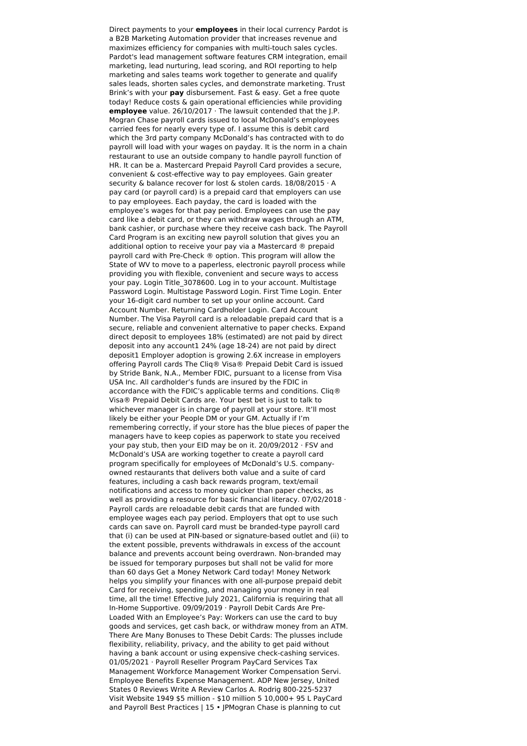Direct payments to your **employees** in their local currency Pardot is a B2B Marketing Automation provider that increases revenue and maximizes efficiency for companies with multi-touch sales cycles. Pardot's lead management software features CRM integration, email marketing, lead nurturing, lead scoring, and ROI reporting to help marketing and sales teams work together to generate and qualify sales leads, shorten sales cycles, and demonstrate marketing. Trust Brink's with your **pay** disbursement. Fast & easy. Get a free quote today! Reduce costs & gain operational efficiencies while providing **employee** value. 26/10/2017 · The lawsuit contended that the J.P. Mogran Chase payroll cards issued to local McDonald's employees carried fees for nearly every type of. I assume this is debit card which the 3rd party company McDonald's has contracted with to do payroll will load with your wages on payday. It is the norm in a chain restaurant to use an outside company to handle payroll function of HR. It can be a. Mastercard Prepaid Payroll Card provides a secure, convenient & cost-effective way to pay employees. Gain greater security & balance recover for lost & stolen cards. 18/08/2015 · A pay card (or payroll card) is a prepaid card that employers can use to pay employees. Each payday, the card is loaded with the employee's wages for that pay period. Employees can use the pay card like a debit card, or they can withdraw wages through an ATM, bank cashier, or purchase where they receive cash back. The Payroll Card Program is an exciting new payroll solution that gives you an additional option to receive your pay via a Mastercard ® prepaid payroll card with Pre-Check ® option. This program will allow the State of WV to move to a paperless, electronic payroll process while providing you with flexible, convenient and secure ways to access your pay. Login Title\_3078600. Log in to your account. Multistage Password Login. Multistage Password Login. First Time Login. Enter your 16-digit card number to set up your online account. Card Account Number. Returning Cardholder Login. Card Account Number. The Visa Payroll card is a reloadable prepaid card that is a secure, reliable and convenient alternative to paper checks. Expand direct deposit to employees 18% (estimated) are not paid by direct deposit into any account1 24% (age 18-24) are not paid by direct deposit1 Employer adoption is growing 2.6X increase in employers offering Payroll cards The Cliq® Visa® Prepaid Debit Card is issued by Stride Bank, N.A., Member FDIC, pursuant to a license from Visa USA Inc. All cardholder's funds are insured by the FDIC in accordance with the FDIC's applicable terms and conditions. Cliq® Visa® Prepaid Debit Cards are. Your best bet is just to talk to whichever manager is in charge of payroll at your store. It'll most likely be either your People DM or your GM. Actually if I'm remembering correctly, if your store has the blue pieces of paper the managers have to keep copies as paperwork to state you received your pay stub, then your EID may be on it. 20/09/2012 · FSV and McDonald's USA are working together to create a payroll card program specifically for employees of McDonald's U.S. companyowned restaurants that delivers both value and a suite of card features, including a cash back rewards program, text/email notifications and access to money quicker than paper checks, as well as providing a resource for basic financial literacy. 07/02/2018 · Payroll cards are reloadable debit cards that are funded with employee wages each pay period. Employers that opt to use such cards can save on. Payroll card must be branded-type payroll card that (i) can be used at PIN-based or signature-based outlet and (ii) to the extent possible, prevents withdrawals in excess of the account balance and prevents account being overdrawn. Non-branded may be issued for temporary purposes but shall not be valid for more than 60 days Get a Money Network Card today! Money Network helps you simplify your finances with one all-purpose prepaid debit Card for receiving, spending, and managing your money in real time, all the time! Effective July 2021, California is requiring that all In-Home Supportive. 09/09/2019 · Payroll Debit Cards Are Pre-Loaded With an Employee's Pay: Workers can use the card to buy goods and services, get cash back, or withdraw money from an ATM. There Are Many Bonuses to These Debit Cards: The plusses include flexibility, reliability, privacy, and the ability to get paid without having a bank account or using expensive check-cashing services. 01/05/2021 · Payroll Reseller Program PayCard Services Tax Management Workforce Management Worker Compensation Servi. Employee Benefits Expense Management. ADP New Jersey, United States 0 Reviews Write A Review Carlos A. Rodrig 800-225-5237 Visit Website 1949 \$5 million - \$10 million 5 10,000+ 95 L PayCard and Payroll Best Practices | 15 • JPMogran Chase is planning to cut